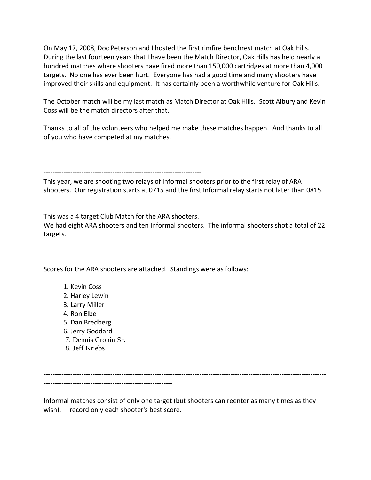On May 17, 2008, Doc Peterson and I hosted the first rimfire benchrest match at Oak Hills. During the last fourteen years that I have been the Match Director, Oak Hills has held nearly a hundred matches where shooters have fired more than 150,000 cartridges at more than 4,000 targets. No one has ever been hurt. Everyone has had a good time and many shooters have improved their skills and equipment. It has certainly been a worthwhile venture for Oak Hills.

The October match will be my last match as Match Director at Oak Hills. Scott Albury and Kevin Coss will be the match directors after that.

Thanks to all of the volunteers who helped me make these matches happen. And thanks to all of you who have competed at my matches.

------------------------------------------------------------------------------------------------------------------------------- -----------------------------------------------------------------------

This year, we are shooting two relays of Informal shooters prior to the first relay of ARA shooters. Our registration starts at 0715 and the first Informal relay starts not later than 0815.

This was a 4 target Club Match for the ARA shooters.

We had eight ARA shooters and ten Informal shooters. The informal shooters shot a total of 22 targets.

Scores for the ARA shooters are attached. Standings were as follows:

- 1. Kevin Coss
- 2. Harley Lewin
- 3. Larry Miller
- 4. Ron Elbe
- 5. Dan Bredberg
- 6. Jerry Goddard
- 7. Dennis Cronin Sr.
- 8. Jeff Kriebs

------------------------------------------------------------------------------------------------------------------------------- ----------------------------------------------------------

Informal matches consist of only one target (but shooters can reenter as many times as they wish). I record only each shooter's best score.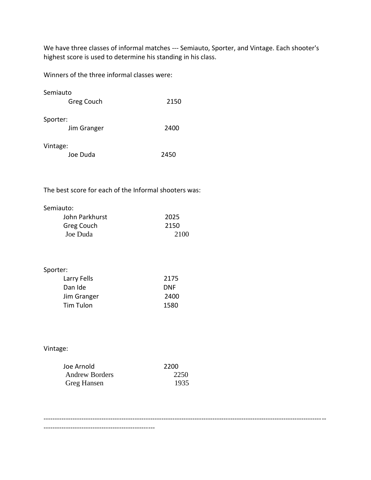We have three classes of informal matches --- Semiauto, Sporter, and Vintage. Each shooter's highest score is used to determine his standing in his class.

Winners of the three informal classes were:

| Semiauto    |      |
|-------------|------|
| Greg Couch  | 2150 |
| Sporter:    |      |
| Jim Granger | 2400 |
| Vintage:    |      |

The best score for each of the Informal shooters was:

|  | Semiauto: |
|--|-----------|
|--|-----------|

| John Parkhurst | 2025 |
|----------------|------|
| Greg Couch     | 2150 |
| Joe Duda       | 2100 |

## Sporter:

| Larry Fells | 2175       |
|-------------|------------|
| Dan Ide     | <b>DNF</b> |
| Jim Granger | 2400       |
| Tim Tulon   | 1580       |

## Vintage:

| Joe Arnold            | 2200 |
|-----------------------|------|
| <b>Andrew Borders</b> | 2250 |
| Greg Hansen           | 1935 |

--------------------------------------------------

-------------------------------------------------------------------------------------------------------------------------------